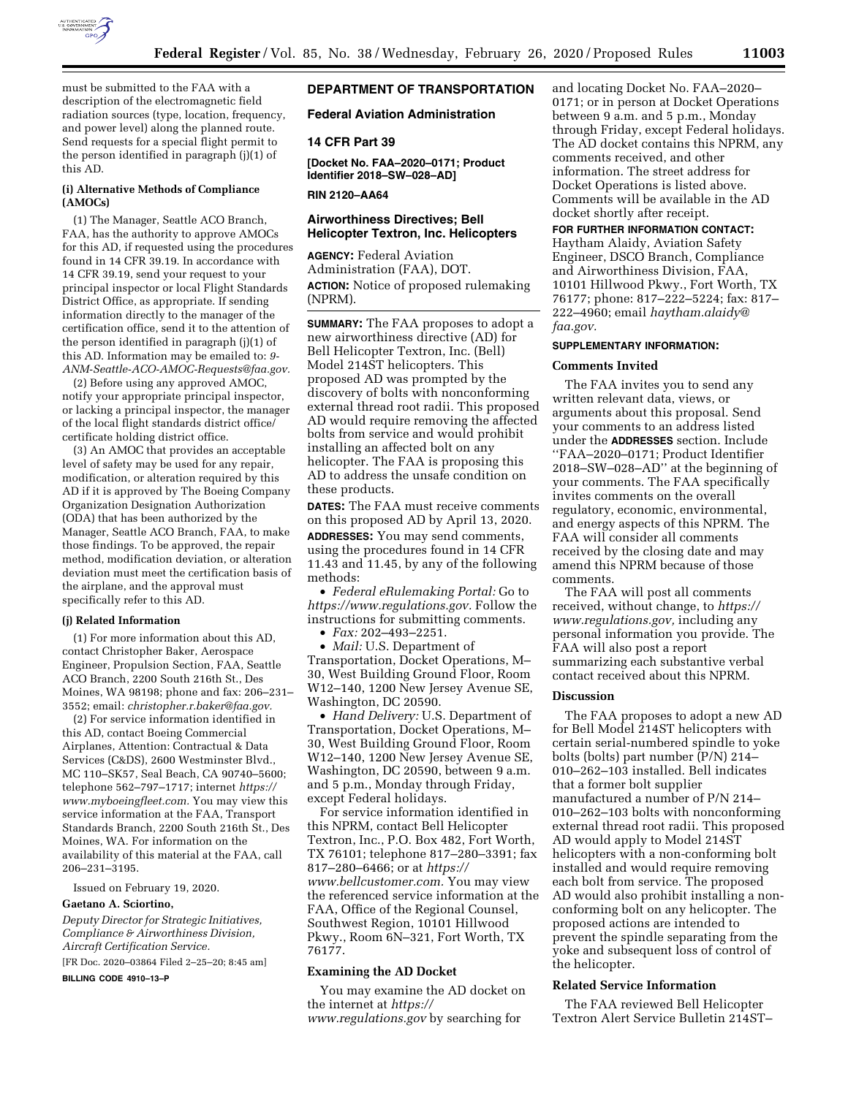

must be submitted to the FAA with a description of the electromagnetic field radiation sources (type, location, frequency, and power level) along the planned route. Send requests for a special flight permit to the person identified in paragraph (j)(1) of this AD.

# **(i) Alternative Methods of Compliance (AMOCs)**

(1) The Manager, Seattle ACO Branch, FAA, has the authority to approve AMOCs for this AD, if requested using the procedures found in 14 CFR 39.19. In accordance with 14 CFR 39.19, send your request to your principal inspector or local Flight Standards District Office, as appropriate. If sending information directly to the manager of the certification office, send it to the attention of the person identified in paragraph (j)(1) of this AD. Information may be emailed to: *[9-](mailto:9-ANM-Seattle-ACO-AMOC-Requests@faa.gov)  [ANM-Seattle-ACO-AMOC-Requests@faa.gov.](mailto:9-ANM-Seattle-ACO-AMOC-Requests@faa.gov)* 

(2) Before using any approved AMOC, notify your appropriate principal inspector, or lacking a principal inspector, the manager of the local flight standards district office/ certificate holding district office.

(3) An AMOC that provides an acceptable level of safety may be used for any repair, modification, or alteration required by this AD if it is approved by The Boeing Company Organization Designation Authorization (ODA) that has been authorized by the Manager, Seattle ACO Branch, FAA, to make those findings. To be approved, the repair method, modification deviation, or alteration deviation must meet the certification basis of the airplane, and the approval must specifically refer to this AD.

## **(j) Related Information**

(1) For more information about this AD, contact Christopher Baker, Aerospace Engineer, Propulsion Section, FAA, Seattle ACO Branch, 2200 South 216th St., Des Moines, WA 98198; phone and fax: 206–231– 3552; email: *[christopher.r.baker@faa.gov.](mailto:christopher.r.baker@faa.gov)* 

(2) For service information identified in this AD, contact Boeing Commercial Airplanes, Attention: Contractual & Data Services (C&DS), 2600 Westminster Blvd., MC 110–SK57, Seal Beach, CA 90740–5600; telephone 562–797–1717; internet *[https://](https://www.myboeingfleet.com) [www.myboeingfleet.com.](https://www.myboeingfleet.com)* You may view this service information at the FAA, Transport Standards Branch, 2200 South 216th St., Des Moines, WA. For information on the availability of this material at the FAA, call 206–231–3195.

Issued on February 19, 2020.

#### **Gaetano A. Sciortino,**

*Deputy Director for Strategic Initiatives, Compliance & Airworthiness Division, Aircraft Certification Service.* 

[FR Doc. 2020–03864 Filed 2–25–20; 8:45 am]

**BILLING CODE 4910–13–P** 

# **DEPARTMENT OF TRANSPORTATION**

**Federal Aviation Administration** 

## **14 CFR Part 39**

**[Docket No. FAA–2020–0171; Product Identifier 2018–SW–028–AD]** 

**RIN 2120–AA64** 

# **Airworthiness Directives; Bell Helicopter Textron, Inc. Helicopters**

**AGENCY:** Federal Aviation Administration (FAA), DOT. **ACTION:** Notice of proposed rulemaking (NPRM).

**SUMMARY:** The FAA proposes to adopt a new airworthiness directive (AD) for Bell Helicopter Textron, Inc. (Bell) Model 214ST helicopters. This proposed AD was prompted by the discovery of bolts with nonconforming external thread root radii. This proposed AD would require removing the affected bolts from service and would prohibit installing an affected bolt on any helicopter. The FAA is proposing this AD to address the unsafe condition on these products.

**DATES:** The FAA must receive comments on this proposed AD by April 13, 2020.

**ADDRESSES:** You may send comments, using the procedures found in 14 CFR 11.43 and 11.45, by any of the following methods:

• *Federal eRulemaking Portal:* Go to *[https://www.regulations.gov.](https://www.regulations.gov)* Follow the instructions for submitting comments.

• *Fax:* 202–493–2251.

• *Mail:* U.S. Department of Transportation, Docket Operations, M– 30, West Building Ground Floor, Room W12–140, 1200 New Jersey Avenue SE, Washington, DC 20590.

• *Hand Delivery:* U.S. Department of Transportation, Docket Operations, M– 30, West Building Ground Floor, Room W12–140, 1200 New Jersey Avenue SE, Washington, DC 20590, between 9 a.m. and 5 p.m., Monday through Friday, except Federal holidays.

For service information identified in this NPRM, contact Bell Helicopter Textron, Inc., P.O. Box 482, Fort Worth, TX 76101; telephone 817–280–3391; fax 817–280–6466; or at *[https://](https://www.bellcustomer.com) [www.bellcustomer.com.](https://www.bellcustomer.com)* You may view the referenced service information at the FAA, Office of the Regional Counsel, Southwest Region, 10101 Hillwood Pkwy., Room 6N–321, Fort Worth, TX 76177.

# **Examining the AD Docket**

You may examine the AD docket on the internet at *[https://](https://www.regulations.gov) [www.regulations.gov](https://www.regulations.gov)* by searching for

and locating Docket No. FAA–2020– 0171; or in person at Docket Operations between 9 a.m. and 5 p.m., Monday through Friday, except Federal holidays. The AD docket contains this NPRM, any comments received, and other information. The street address for Docket Operations is listed above. Comments will be available in the AD docket shortly after receipt.

## **FOR FURTHER INFORMATION CONTACT:**

Haytham Alaidy, Aviation Safety Engineer, DSCO Branch, Compliance and Airworthiness Division, FAA, 10101 Hillwood Pkwy., Fort Worth, TX 76177; phone: 817–222–5224; fax: 817– 222–4960; email *[haytham.alaidy@](mailto:haytham.alaidy@faa.gov) [faa.gov.](mailto:haytham.alaidy@faa.gov)* 

## **SUPPLEMENTARY INFORMATION:**

## **Comments Invited**

The FAA invites you to send any written relevant data, views, or arguments about this proposal. Send your comments to an address listed under the **ADDRESSES** section. Include ''FAA–2020–0171; Product Identifier 2018–SW–028–AD'' at the beginning of your comments. The FAA specifically invites comments on the overall regulatory, economic, environmental, and energy aspects of this NPRM. The FAA will consider all comments received by the closing date and may amend this NPRM because of those comments.

The FAA will post all comments received, without change, to *[https://](https://www.regulations.gov) [www.regulations.gov,](https://www.regulations.gov)* including any personal information you provide. The FAA will also post a report summarizing each substantive verbal contact received about this NPRM.

#### **Discussion**

The FAA proposes to adopt a new AD for Bell Model 214ST helicopters with certain serial-numbered spindle to yoke bolts (bolts) part number (P/N) 214– 010–262–103 installed. Bell indicates that a former bolt supplier manufactured a number of P/N 214– 010–262–103 bolts with nonconforming external thread root radii. This proposed AD would apply to Model 214ST helicopters with a non-conforming bolt installed and would require removing each bolt from service. The proposed AD would also prohibit installing a nonconforming bolt on any helicopter. The proposed actions are intended to prevent the spindle separating from the yoke and subsequent loss of control of the helicopter.

#### **Related Service Information**

The FAA reviewed Bell Helicopter Textron Alert Service Bulletin 214ST–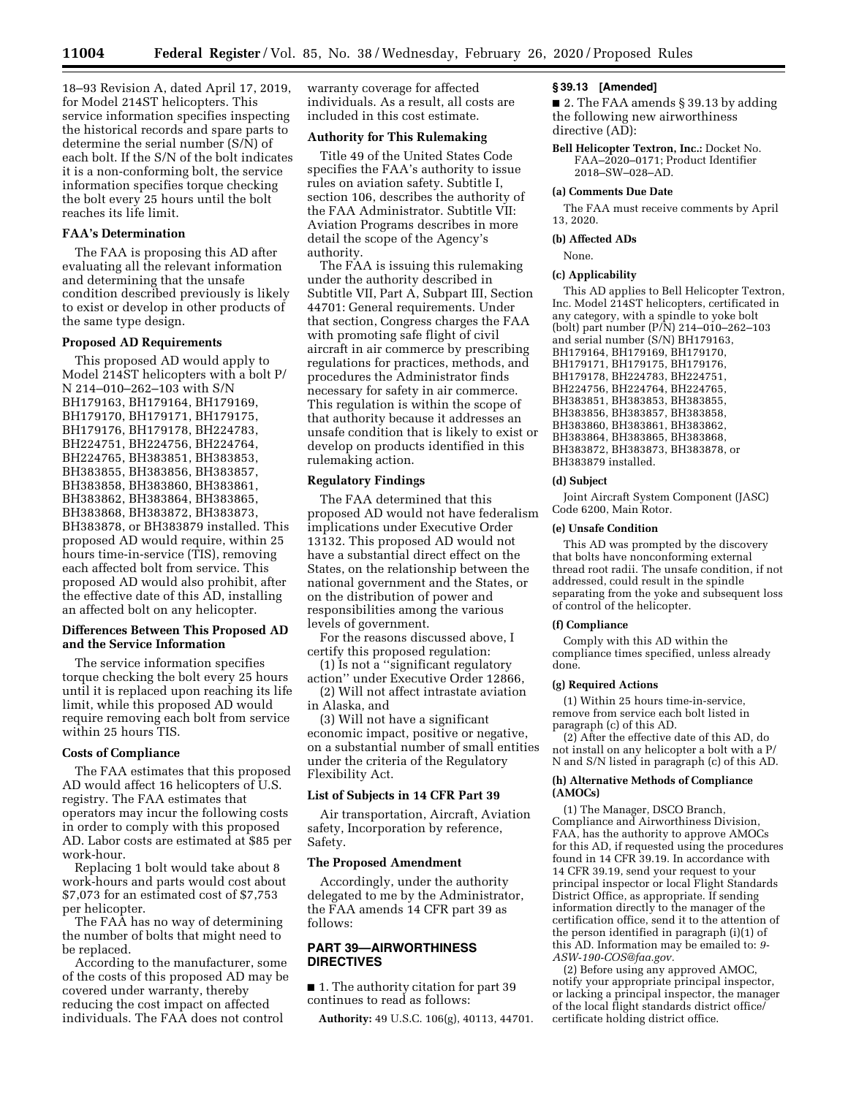18–93 Revision A, dated April 17, 2019, for Model 214ST helicopters. This service information specifies inspecting the historical records and spare parts to determine the serial number (S/N) of each bolt. If the S/N of the bolt indicates it is a non-conforming bolt, the service information specifies torque checking the bolt every 25 hours until the bolt reaches its life limit.

# **FAA's Determination**

The FAA is proposing this AD after evaluating all the relevant information and determining that the unsafe condition described previously is likely to exist or develop in other products of the same type design.

# **Proposed AD Requirements**

This proposed AD would apply to Model 214ST helicopters with a bolt P/ N 214–010–262–103 with S/N BH179163, BH179164, BH179169, BH179170, BH179171, BH179175, BH179176, BH179178, BH224783, BH224751, BH224756, BH224764, BH224765, BH383851, BH383853, BH383855, BH383856, BH383857, BH383858, BH383860, BH383861, BH383862, BH383864, BH383865, BH383868, BH383872, BH383873, BH383878, or BH383879 installed. This proposed AD would require, within 25 hours time-in-service (TIS), removing each affected bolt from service. This proposed AD would also prohibit, after the effective date of this AD, installing an affected bolt on any helicopter.

## **Differences Between This Proposed AD and the Service Information**

The service information specifies torque checking the bolt every 25 hours until it is replaced upon reaching its life limit, while this proposed AD would require removing each bolt from service within 25 hours TIS.

## **Costs of Compliance**

The FAA estimates that this proposed AD would affect 16 helicopters of U.S. registry. The FAA estimates that operators may incur the following costs in order to comply with this proposed AD. Labor costs are estimated at \$85 per work-hour.

Replacing 1 bolt would take about 8 work-hours and parts would cost about \$7,073 for an estimated cost of \$7,753 per helicopter.

The FAA has no way of determining the number of bolts that might need to be replaced.

According to the manufacturer, some of the costs of this proposed AD may be covered under warranty, thereby reducing the cost impact on affected individuals. The FAA does not control

warranty coverage for affected individuals. As a result, all costs are included in this cost estimate.

## **Authority for This Rulemaking**

Title 49 of the United States Code specifies the FAA's authority to issue rules on aviation safety. Subtitle I, section 106, describes the authority of the FAA Administrator. Subtitle VII: Aviation Programs describes in more detail the scope of the Agency's authority.

The FAA is issuing this rulemaking under the authority described in Subtitle VII, Part A, Subpart III, Section 44701: General requirements. Under that section, Congress charges the FAA with promoting safe flight of civil aircraft in air commerce by prescribing regulations for practices, methods, and procedures the Administrator finds necessary for safety in air commerce. This regulation is within the scope of that authority because it addresses an unsafe condition that is likely to exist or develop on products identified in this rulemaking action.

## **Regulatory Findings**

The FAA determined that this proposed AD would not have federalism implications under Executive Order 13132. This proposed AD would not have a substantial direct effect on the States, on the relationship between the national government and the States, or on the distribution of power and responsibilities among the various levels of government.

For the reasons discussed above, I certify this proposed regulation:

(1) Is not a ''significant regulatory action'' under Executive Order 12866,

(2) Will not affect intrastate aviation in Alaska, and

(3) Will not have a significant economic impact, positive or negative, on a substantial number of small entities under the criteria of the Regulatory Flexibility Act.

#### **List of Subjects in 14 CFR Part 39**

Air transportation, Aircraft, Aviation safety, Incorporation by reference, Safety.

## **The Proposed Amendment**

Accordingly, under the authority delegated to me by the Administrator, the FAA amends 14 CFR part 39 as follows:

# **PART 39—AIRWORTHINESS DIRECTIVES**

■ 1. The authority citation for part 39 continues to read as follows:

**Authority:** 49 U.S.C. 106(g), 40113, 44701.

### **§ 39.13 [Amended]**

■ 2. The FAA amends § 39.13 by adding the following new airworthiness directive (AD):

**Bell Helicopter Textron, Inc.:** Docket No. FAA–2020–0171; Product Identifier 2018–SW–028–AD.

#### **(a) Comments Due Date**

The FAA must receive comments by April 13, 2020.

#### **(b) Affected ADs**

None.

#### **(c) Applicability**

This AD applies to Bell Helicopter Textron, Inc. Model 214ST helicopters, certificated in any category, with a spindle to yoke bolt (bolt) part number (P/N) 214–010–262–103 and serial number (S/N) BH179163, BH179164, BH179169, BH179170, BH179171, BH179175, BH179176, BH179178, BH224783, BH224751, BH224756, BH224764, BH224765, BH383851, BH383853, BH383855, BH383856, BH383857, BH383858, BH383860, BH383861, BH383862, BH383864, BH383865, BH383868, BH383872, BH383873, BH383878, or BH383879 installed.

### **(d) Subject**

Joint Aircraft System Component (JASC) Code 6200, Main Rotor.

#### **(e) Unsafe Condition**

This AD was prompted by the discovery that bolts have nonconforming external thread root radii. The unsafe condition, if not addressed, could result in the spindle separating from the yoke and subsequent loss of control of the helicopter.

#### **(f) Compliance**

Comply with this AD within the compliance times specified, unless already done.

#### **(g) Required Actions**

(1) Within 25 hours time-in-service, remove from service each bolt listed in paragraph (c) of this AD.

(2) After the effective date of this AD, do not install on any helicopter a bolt with a P/ N and S/N listed in paragraph (c) of this AD.

## **(h) Alternative Methods of Compliance (AMOCs)**

(1) The Manager, DSCO Branch, Compliance and Airworthiness Division, FAA, has the authority to approve AMOCs for this AD, if requested using the procedures found in 14 CFR 39.19. In accordance with 14 CFR 39.19, send your request to your principal inspector or local Flight Standards District Office, as appropriate. If sending information directly to the manager of the certification office, send it to the attention of the person identified in paragraph (i)(1) of this AD. Information may be emailed to: *[9-](mailto:9-ASW-190-COS@faa.gov)  [ASW-190-COS@faa.gov.](mailto:9-ASW-190-COS@faa.gov)* 

(2) Before using any approved AMOC, notify your appropriate principal inspector, or lacking a principal inspector, the manager of the local flight standards district office/ certificate holding district office.